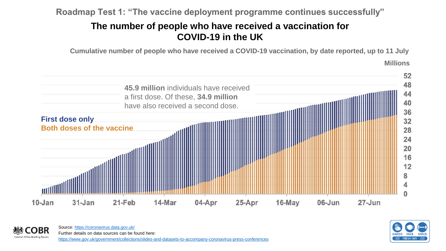**Roadmap Test 1: "The vaccine deployment programme continues successfully"**

## **The number of people who have received a vaccination for COVID-19 in the UK**

**Cumulative number of people who have received a COVID-19 vaccination, by date reported, up to 11 July**

**Millions**





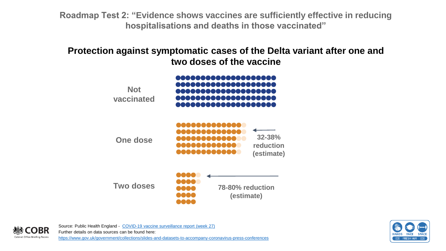**Roadmap Test 2: "Evidence shows vaccines are sufficiently effective in reducing hospitalisations and deaths in those vaccinated"**

**Protection against symptomatic cases of the Delta variant after one and two doses of the vaccine**





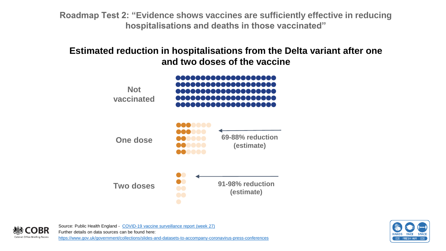**Roadmap Test 2: "Evidence shows vaccines are sufficiently effective in reducing hospitalisations and deaths in those vaccinated"**

**Estimated reduction in hospitalisations from the Delta variant after one and two doses of the vaccine**



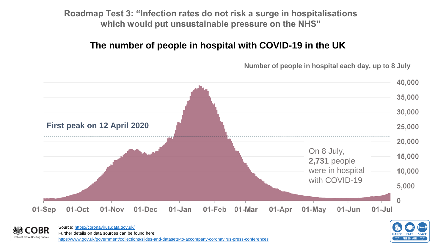**Roadmap Test 3: "Infection rates do not risk a surge in hospitalisations which would put unsustainable pressure on the NHS"**

# **The number of people in hospital with COVID-19 in the UK**

**Number of people in hospital each day, up to 8 July**





Source:<https://coronavirus.data.gov.uk/> Further details on data sources can be found here: Cabinet Office Briefing Room <https://www.gov.uk/government/collections/slides-and-datasets-to-accompany-coronavirus-press-conferences>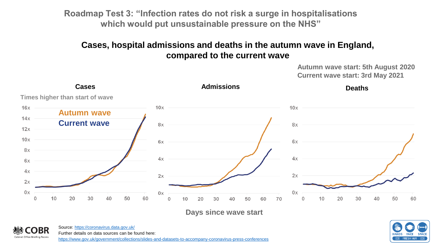**Roadmap Test 3: "Infection rates do not risk a surge in hospitalisations which would put unsustainable pressure on the NHS"**

### **Cases, hospital admissions and deaths in the autumn wave in England, compared to the current wave**

**Autumn wave start: 5th August 2020 Current wave start: 3rd May 2021**



**Days since wave start**



Source:<https://coronavirus.data.gov.uk/> Further details on data sources can be found here:

Cabinet Office Briefing Rooms

<https://www.gov.uk/government/collections/slides-and-datasets-to-accompany-coronavirus-press-conferences>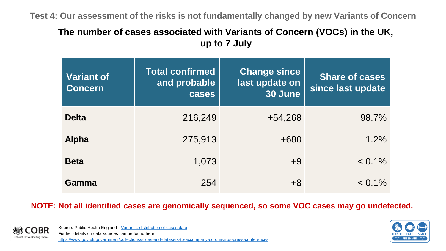**Test 4: Our assessment of the risks is not fundamentally changed by new Variants of Concern**

## **The number of cases associated with Variants of Concern (VOCs) in the UK, up to 7 July**

| <b>Variant of</b><br><b>Concern</b> | <b>Total confirmed</b><br>and probable<br>cases | <b>Change since</b><br>last update on<br>30 June | <b>Share of cases</b><br>since last update |
|-------------------------------------|-------------------------------------------------|--------------------------------------------------|--------------------------------------------|
| <b>Delta</b>                        | 216,249                                         | $+54,268$                                        | 98.7%                                      |
| <b>Alpha</b>                        | 275,913                                         | $+680$                                           | 1.2%                                       |
| <b>Beta</b>                         | 1,073                                           | $+9$                                             | $< 0.1\%$                                  |
| Gamma                               | 254                                             | +8                                               | $< 0.1\%$                                  |

**NOTE: Not all identified cases are genomically sequenced, so some VOC cases may go undetected.** 



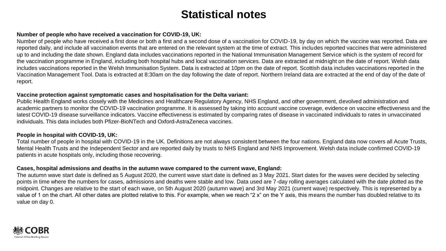# **Statistical notes**

#### **Number of people who have received a vaccination for COVID-19, UK:**

Number of people who have received a first dose or both a first and a second dose of a vaccination for COVID-19, by day on which the vaccine was reported. Data are reported daily, and include all vaccination events that are entered on the relevant system at the time of extract. This includes reported vaccines that were administered up to and including the date shown. England data includes vaccinations reported in the National Immunisation Management Service which is the system of record for the vaccination programme in England, including both hospital hubs and local vaccination services. Data are extracted at midnight on the date of report. Welsh data includes vaccinations reported in the Welsh Immunisation System. Data is extracted at 10pm on the date of report. Scottish data includes vaccinations reported in the Vaccination Management Tool. Data is extracted at 8:30am on the day following the date of report. Northern Ireland data are extracted at the end of day of the date of report.

#### **Vaccine protection against symptomatic cases and hospitalisation for the Delta variant:**

Public Health England works closely with the Medicines and Healthcare Regulatory Agency, NHS England, and other government, devolved administration and academic partners to monitor the COVID-19 vaccination programme. It is assessed by taking into account vaccine coverage, evidence on vaccine effectiveness and the latest COVID-19 disease surveillance indicators. Vaccine effectiveness is estimated by comparing rates of disease in vaccinated individuals to rates in unvaccinated individuals. This data includes both Pfizer-BioNTech and Oxford-AstraZeneca vaccines.

#### **People in hospital with COVID-19, UK:**

Total number of people in hospital with COVID-19 in the UK. Definitions are not always consistent between the four nations. England data now covers all Acute Trusts, Mental Health Trusts and the Independent Sector and are reported daily by trusts to NHS England and NHS Improvement. Welsh data include confirmed COVID-19 patients in acute hospitals only, including those recovering.

#### **Cases, hospital admissions and deaths in the autumn wave compared to the current wave, England:**

The autumn wave start date is defined as 5 August 2020, the current wave start date is defined as 3 May 2021. Start dates for the waves were decided by selecting points in time where the numbers for cases, admissions and deaths were stable and low. Data used are 7-day rolling averages calculated with the date plotted as the midpoint. Changes are relative to the start of each wave, on 5th August 2020 (autumn wave) and 3rd May 2021 (current wave) respectively. This is represented by a value of 1 on the chart. All other dates are plotted relative to this. For example, when we reach "2 x" on the Y axis, this means the number has doubled relative to its value on day 0.